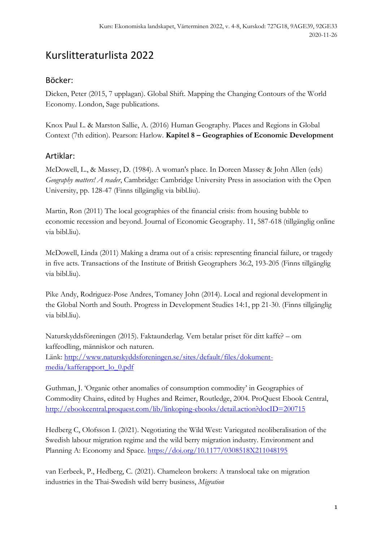## Kurslitteraturlista 2022

## Böcker:

Dicken, Peter (2015, 7 upplagan). Global Shift. Mapping the Changing Contours of the World Economy. London, Sage publications.

Knox Paul L. & Marston Sallie, A. (2016) Human Geography. Places and Regions in Global Context (7th edition). Pearson: Harlow. **Kapitel 8 – Geographies of Economic Development**

## Artiklar:

McDowell, L., & Massey, D. (1984). A woman's place. In Doreen Massey & John Allen (eds) *Geography matters! A reader*, Cambridge: Cambridge University Press in association with the Open University, pp. 128-47 (Finns tillgänglig via bibl.liu).

Martin, Ron (2011) The local geographies of the financial crisis: from housing bubble to economic recession and beyond. Journal of Economic Geography. 11, 587-618 (tillgänglig online via bibl.liu).

McDowell, Linda (2011) Making a drama out of a crisis: representing financial failure, or tragedy in five acts. Transactions of the Institute of British Geographers 36:2, 193-205 (Finns tillgänglig via bibl.liu).

Pike Andy, Rodriguez-Pose Andres, Tomaney John (2014). Local and regional development in the Global North and South. Progress in Development Studies 14:1, pp 21-30. (Finns tillgänglig via bibl.liu).

Naturskyddsföreningen (2015). Faktaunderlag. Vem betalar priset för ditt kaffe? – om kaffeodling, människor och naturen. Länk: [http://www.naturskyddsforeningen.se/sites/default/files/dokument](http://www.naturskyddsforeningen.se/sites/default/files/dokument-media/kafferapport_lo_0.pdf)[media/kafferapport\\_lo\\_0.pdf](http://www.naturskyddsforeningen.se/sites/default/files/dokument-media/kafferapport_lo_0.pdf)

Guthman, J. 'Organic other anomalies of consumption commodity' in Geographies of Commodity Chains, edited by Hughes and Reimer, Routledge, 2004. ProQuest Ebook Central, <http://ebookcentral.proquest.com/lib/linkoping-ebooks/detail.action?docID=200715>

Hedberg C, Olofsson I. (2021). Negotiating the Wild West: Variegated neoliberalisation of the Swedish labour migration regime and the wild berry migration industry. Environment and Planning A: Economy and Space. [https://doi.org/10.1177/0308518X211048195](https://doi.org/10.1177%2F0308518X211048195)

van Eerbeek, P., Hedberg, C. (2021). Chameleon brokers: A translocal take on migration industries in the Thai-Swedish wild berry business, *Migration*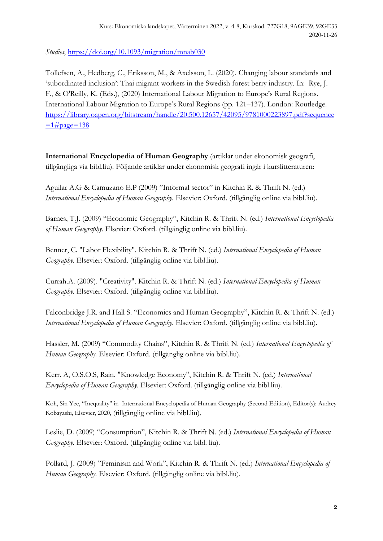*Studies*, [https://doi.org/10.1093/migration/mnab030](https://eur01.safelinks.protection.outlook.com/?url=https%3A%2F%2Fdoi.org%2F10.1093%2Fmigration%2Fmnab030&data=04%7C01%7Cdesiree.enlund%40liu.se%7C08520376f9c14dfcac8e08d9b0c2e91a%7C913f18ec7f264c5fa816784fe9a58edd%7C0%7C0%7C637735173441470832%7CUnknown%7CTWFpbGZsb3d8eyJWIjoiMC4wLjAwMDAiLCJQIjoiV2luMzIiLCJBTiI6Ik1haWwiLCJXVCI6Mn0%3D%7C3000&sdata=sWOVZZJ%2FGRQzEZhXsNoQBovitRwATIMrusaoyDnZqwo%3D&reserved=0)

Tollefsen, A., Hedberg, C., Eriksson, M., & Axelsson, L. (2020). Changing labour standards and 'subordinated inclusion': Thai migrant workers in the Swedish forest berry industry. In: Rye, J. F., & O'Reilly, K. (Eds.), (2020) International Labour Migration to Europe's Rural Regions. International Labour Migration to Europe's Rural Regions (pp. 121–137). London: Routledge. [https://library.oapen.org/bitstream/handle/20.500.12657/42095/9781000223897.pdf?sequence](https://library.oapen.org/bitstream/handle/20.500.12657/42095/9781000223897.pdf?sequence=1#page=138)  $=1#page=138$ 

**International Encyclopedia of Human Geography** (artiklar under ekonomisk geografi, tillgängliga via bibl.liu). Följande artiklar under ekonomisk geografi ingår i kurslitteraturen:

Aguilar A.G & Camuzano E.P (2009) "Informal sector" in Kitchin R. & Thrift N. (ed.) *International Encyclopedia of Human Geography.* Elsevier: Oxford. (tillgänglig online via bibl.liu).

Barnes, T.J. (2009) "Economic Geography", Kitchin R. & Thrift N. (ed.) *International Encyclopedia of Human Geography.* Elsevier: Oxford. (tillgänglig online via bibl.liu).

Benner, C. "Labor Flexibility". Kitchin R. & Thrift N. (ed.) *International Encyclopedia of Human Geography.* Elsevier: Oxford. (tillgänglig online via bibl.liu).

Currah.A. (2009). "Creativity". Kitchin R. & Thrift N. (ed.) *International Encyclopedia of Human Geography.* Elsevier: Oxford. (tillgänglig online via bibl.liu).

Falconbridge J.R. and Hall S. "Economics and Human Geography", Kitchin R. & Thrift N. (ed.) *International Encyclopedia of Human Geography.* Elsevier: Oxford. (tillgänglig online via bibl.liu).

Hassler, M. (2009) "Commodity Chains", Kitchin R. & Thrift N. (ed.) *International Encyclopedia of Human Geography.* Elsevier: Oxford. (tillgänglig online via bibl.liu).

Kerr. A, O.S.O.S, Rain. "Knowledge Economy", Kitchin R. & Thrift N. (ed.) *International Encyclopedia of Human Geography.* Elsevier: Oxford. (tillgänglig online via bibl.liu).

Koh, Sin Yee, "Inequality" in International Encyclopedia of Human Geography (Second Edition), Editor(s): Audrey Kobayashi, Elsevier, 2020, (tillgänglig online via bibl.liu).

Leslie, D. (2009) "Consumption", Kitchin R. & Thrift N. (ed.) *International Encyclopedia of Human Geography.* Elsevier: Oxford. (tillgänglig online via bibl. liu).

Pollard, J. (2009) "Feminism and Work", Kitchin R. & Thrift N. (ed.) *International Encyclopedia of Human Geography.* Elsevier: Oxford. (tillgänglig online via bibl.liu).